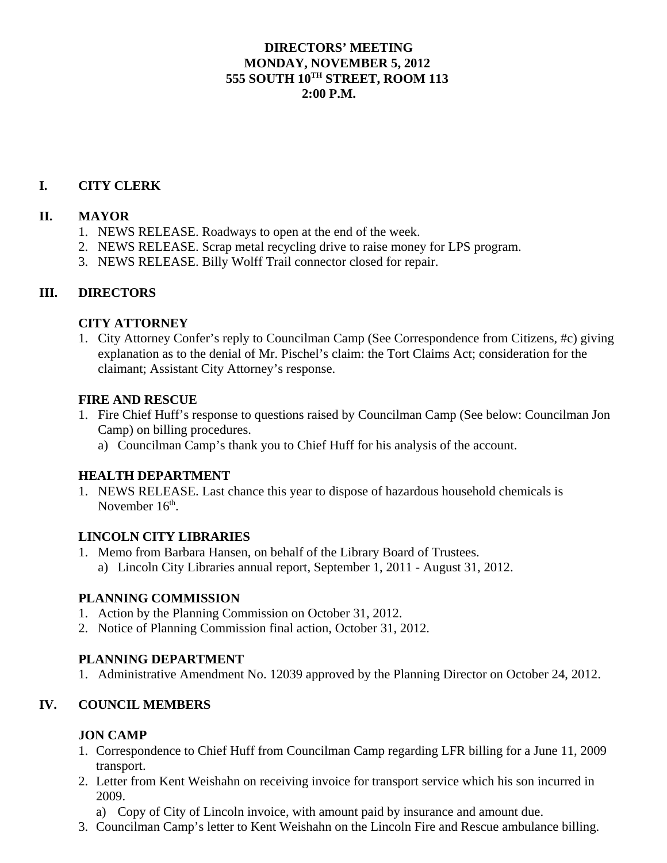# **DIRECTORS' MEETING MONDAY, NOVEMBER 5, 2012 555 SOUTH 10TH STREET, ROOM 113 2:00 P.M.**

# **I. CITY CLERK**

## **II. MAYOR**

- 1. NEWS RELEASE. Roadways to open at the end of the week.
- 2. NEWS RELEASE. Scrap metal recycling drive to raise money for LPS program.
- 3. NEWS RELEASE. Billy Wolff Trail connector closed for repair.

### **III. DIRECTORS**

### **CITY ATTORNEY**

1. City Attorney Confer's reply to Councilman Camp (See Correspondence from Citizens, #c) giving explanation as to the denial of Mr. Pischel's claim: the Tort Claims Act; consideration for the claimant; Assistant City Attorney's response.

#### **FIRE AND RESCUE**

- 1. Fire Chief Huff's response to questions raised by Councilman Camp (See below: Councilman Jon Camp) on billing procedures.
	- a) Councilman Camp's thank you to Chief Huff for his analysis of the account.

## **HEALTH DEPARTMENT**

1. NEWS RELEASE. Last chance this year to dispose of hazardous household chemicals is November 16<sup>th</sup>

#### **LINCOLN CITY LIBRARIES**

- 1. Memo from Barbara Hansen, on behalf of the Library Board of Trustees.
	- a) Lincoln City Libraries annual report, September 1, 2011 August 31, 2012.

#### **PLANNING COMMISSION**

- 1. Action by the Planning Commission on October 31, 2012.
- 2. Notice of Planning Commission final action, October 31, 2012.

## **PLANNING DEPARTMENT**

1. Administrative Amendment No. 12039 approved by the Planning Director on October 24, 2012.

## **IV. COUNCIL MEMBERS**

## **JON CAMP**

- 1. Correspondence to Chief Huff from Councilman Camp regarding LFR billing for a June 11, 2009 transport.
- 2. Letter from Kent Weishahn on receiving invoice for transport service which his son incurred in 2009.
	- a) Copy of City of Lincoln invoice, with amount paid by insurance and amount due.
- 3. Councilman Camp's letter to Kent Weishahn on the Lincoln Fire and Rescue ambulance billing.